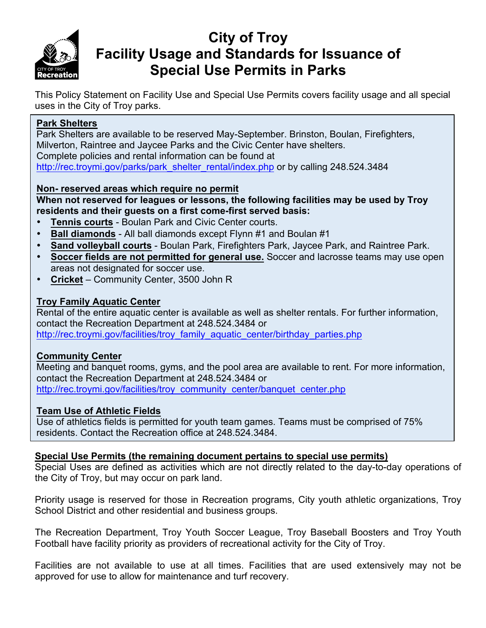

# **City of Troy Facility Usage and Standards for Issuance of Special Use Permits in Parks**

This Policy Statement on Facility Use and Special Use Permits covers facility usage and all special uses in the City of Troy parks.

#### **Park Shelters**

Park Shelters are available to be reserved May-September. Brinston, Boulan, Firefighters, Milverton, Raintree and Jaycee Parks and the Civic Center have shelters. Complete policies and rental information can be found at http://rec.troymi.gov/parks/park\_shelter\_rental/index.php or by calling 248.524.3484

#### **Non- reserved areas which require no permit**

#### **When not reserved for leagues or lessons, the following facilities may be used by Troy residents and their guests on a first come-first served basis:**

- **Tennis courts** Boulan Park and Civic Center courts.
- **Ball diamonds** All ball diamonds except Flynn #1 and Boulan #1
- **Sand volleyball courts** Boulan Park, Firefighters Park, Jaycee Park, and Raintree Park.
- **Soccer fields are not permitted for general use.** Soccer and lacrosse teams may use open areas not designated for soccer use.
- **Cricket** Community Center, 3500 John R

#### **Troy Family Aquatic Center**

Rental of the entire aquatic center is available as well as shelter rentals. For further information, contact the Recreation Department at 248.524.3484 or http://rec.troymi.gov/facilities/troy\_family\_aquatic\_center/birthday\_parties.php

#### **Community Center**

Meeting and banquet rooms, gyms, and the pool area are available to rent. For more information, contact the Recreation Department at 248.524.3484 or http://rec.troymi.gov/facilities/troy\_community\_center/banquet\_center.php

#### **Team Use of Athletic Fields**

Use of athletics fields is permitted for youth team games. Teams must be comprised of 75% residents. Contact the Recreation office at 248.524.3484.

#### **Special Use Permits (the remaining document pertains to special use permits)**

Special Uses are defined as activities which are not directly related to the day-to-day operations of the City of Troy, but may occur on park land.

Priority usage is reserved for those in Recreation programs, City youth athletic organizations, Troy School District and other residential and business groups.

The Recreation Department, Troy Youth Soccer League, Troy Baseball Boosters and Troy Youth Football have facility priority as providers of recreational activity for the City of Troy.

Facilities are not available to use at all times. Facilities that are used extensively may not be approved for use to allow for maintenance and turf recovery.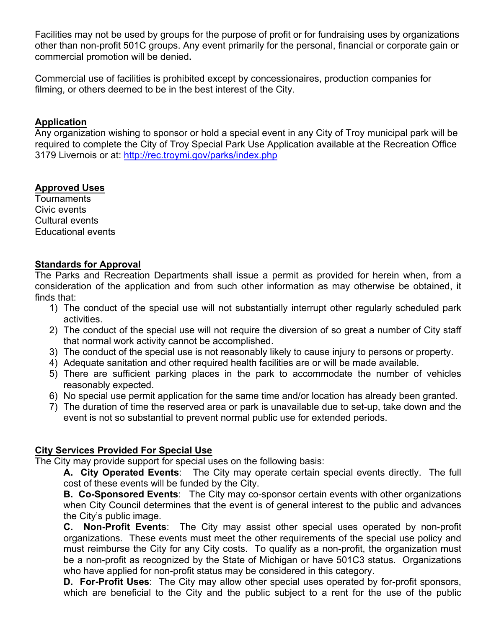Facilities may not be used by groups for the purpose of profit or for fundraising uses by organizations other than non-profit 501C groups. Any event primarily for the personal, financial or corporate gain or commercial promotion will be denied**.**

Commercial use of facilities is prohibited except by concessionaires, production companies for filming, or others deemed to be in the best interest of the City.

#### **Application**

Any organization wishing to sponsor or hold a special event in any City of Troy municipal park will be required to complete the City of Troy Special Park Use Application available at the Recreation Office 3179 Livernois or at: http://rec.troymi.gov/parks/index.php

#### **Approved Uses**

Tournaments Civic events Cultural events Educational events

#### **Standards for Approval**

The Parks and Recreation Departments shall issue a permit as provided for herein when, from a consideration of the application and from such other information as may otherwise be obtained, it finds that:

- 1) The conduct of the special use will not substantially interrupt other regularly scheduled park activities.
- 2) The conduct of the special use will not require the diversion of so great a number of City staff that normal work activity cannot be accomplished.
- 3) The conduct of the special use is not reasonably likely to cause injury to persons or property.
- 4) Adequate sanitation and other required health facilities are or will be made available.
- 5) There are sufficient parking places in the park to accommodate the number of vehicles reasonably expected.
- 6) No special use permit application for the same time and/or location has already been granted.
- 7) The duration of time the reserved area or park is unavailable due to set-up, take down and the event is not so substantial to prevent normal public use for extended periods.

#### **City Services Provided For Special Use**

The City may provide support for special uses on the following basis:

**A. City Operated Events**: The City may operate certain special events directly. The full cost of these events will be funded by the City.

**B. Co-Sponsored Events**: The City may co-sponsor certain events with other organizations when City Council determines that the event is of general interest to the public and advances the City's public image.

**C. Non-Profit Events**: The City may assist other special uses operated by non-profit organizations. These events must meet the other requirements of the special use policy and must reimburse the City for any City costs. To qualify as a non-profit, the organization must be a non-profit as recognized by the State of Michigan or have 501C3 status. Organizations who have applied for non-profit status may be considered in this category.

**D. For-Profit Uses**: The City may allow other special uses operated by for-profit sponsors, which are beneficial to the City and the public subject to a rent for the use of the public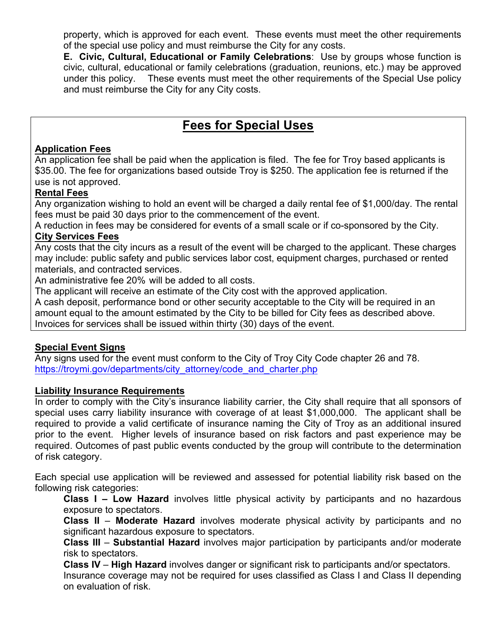property, which is approved for each event. These events must meet the other requirements of the special use policy and must reimburse the City for any costs.

**E. Civic, Cultural, Educational or Family Celebrations**: Use by groups whose function is civic, cultural, educational or family celebrations (graduation, reunions, etc.) may be approved under this policy. These events must meet the other requirements of the Special Use policy and must reimburse the City for any City costs.

### **Fees for Special Uses**

#### **Application Fees**

An application fee shall be paid when the application is filed. The fee for Troy based applicants is \$35.00. The fee for organizations based outside Troy is \$250. The application fee is returned if the use is not approved.

#### **Rental Fees**

Any organization wishing to hold an event will be charged a daily rental fee of \$1,000/day. The rental fees must be paid 30 days prior to the commencement of the event.

A reduction in fees may be considered for events of a small scale or if co-sponsored by the City. **City Services Fees**

Any costs that the city incurs as a result of the event will be charged to the applicant. These charges may include: public safety and public services labor cost, equipment charges, purchased or rented materials, and contracted services.

An administrative fee 20% will be added to all costs.

The applicant will receive an estimate of the City cost with the approved application.

A cash deposit, performance bond or other security acceptable to the City will be required in an amount equal to the amount estimated by the City to be billed for City fees as described above. Invoices for services shall be issued within thirty (30) days of the event.

#### **Special Event Signs**

Any signs used for the event must conform to the City of Troy City Code chapter 26 and 78. https://troymi.gov/departments/city\_attorney/code\_and\_charter.php

#### **Liability Insurance Requirements**

In order to comply with the City's insurance liability carrier, the City shall require that all sponsors of special uses carry liability insurance with coverage of at least \$1,000,000. The applicant shall be required to provide a valid certificate of insurance naming the City of Troy as an additional insured prior to the event. Higher levels of insurance based on risk factors and past experience may be required. Outcomes of past public events conducted by the group will contribute to the determination of risk category.

Each special use application will be reviewed and assessed for potential liability risk based on the following risk categories:

**Class I – Low Hazard** involves little physical activity by participants and no hazardous exposure to spectators.

**Class II** – **Moderate Hazard** involves moderate physical activity by participants and no significant hazardous exposure to spectators.

**Class III** – **Substantial Hazard** involves major participation by participants and/or moderate risk to spectators.

**Class IV** – **High Hazard** involves danger or significant risk to participants and/or spectators. Insurance coverage may not be required for uses classified as Class I and Class II depending on evaluation of risk.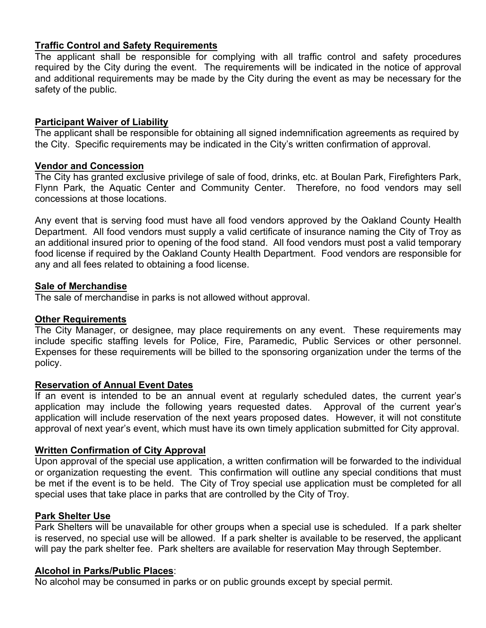#### **Traffic Control and Safety Requirements**

The applicant shall be responsible for complying with all traffic control and safety procedures required by the City during the event. The requirements will be indicated in the notice of approval and additional requirements may be made by the City during the event as may be necessary for the safety of the public.

#### **Participant Waiver of Liability**

The applicant shall be responsible for obtaining all signed indemnification agreements as required by the City. Specific requirements may be indicated in the City's written confirmation of approval.

#### **Vendor and Concession**

The City has granted exclusive privilege of sale of food, drinks, etc. at Boulan Park, Firefighters Park, Flynn Park, the Aquatic Center and Community Center. Therefore, no food vendors may sell concessions at those locations.

Any event that is serving food must have all food vendors approved by the Oakland County Health Department. All food vendors must supply a valid certificate of insurance naming the City of Troy as an additional insured prior to opening of the food stand. All food vendors must post a valid temporary food license if required by the Oakland County Health Department. Food vendors are responsible for any and all fees related to obtaining a food license.

#### **Sale of Merchandise**

The sale of merchandise in parks is not allowed without approval.

#### **Other Requirements**

The City Manager, or designee, may place requirements on any event. These requirements may include specific staffing levels for Police, Fire, Paramedic, Public Services or other personnel. Expenses for these requirements will be billed to the sponsoring organization under the terms of the policy.

#### **Reservation of Annual Event Dates**

If an event is intended to be an annual event at regularly scheduled dates, the current year's application may include the following years requested dates. Approval of the current year's application will include reservation of the next years proposed dates. However, it will not constitute approval of next year's event, which must have its own timely application submitted for City approval.

#### **Written Confirmation of City Approval**

Upon approval of the special use application, a written confirmation will be forwarded to the individual or organization requesting the event. This confirmation will outline any special conditions that must be met if the event is to be held. The City of Troy special use application must be completed for all special uses that take place in parks that are controlled by the City of Troy.

#### **Park Shelter Use**

Park Shelters will be unavailable for other groups when a special use is scheduled. If a park shelter is reserved, no special use will be allowed. If a park shelter is available to be reserved, the applicant will pay the park shelter fee. Park shelters are available for reservation May through September.

#### **Alcohol in Parks/Public Places**:

No alcohol may be consumed in parks or on public grounds except by special permit.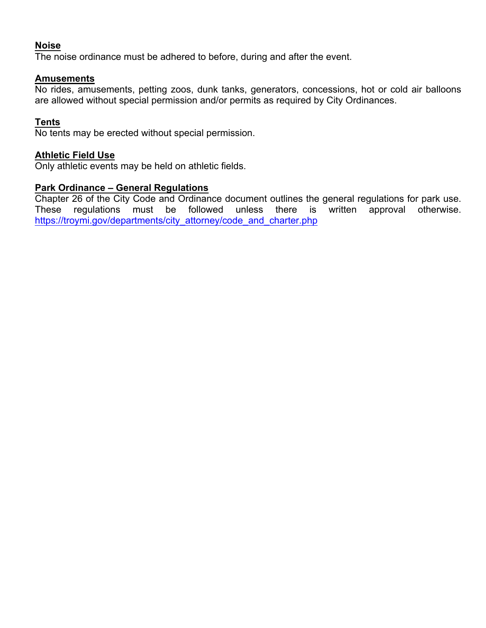#### **Noise**

The noise ordinance must be adhered to before, during and after the event.

#### **Amusements**

No rides, amusements, petting zoos, dunk tanks, generators, concessions, hot or cold air balloons are allowed without special permission and/or permits as required by City Ordinances.

#### **Tents**

No tents may be erected without special permission.

#### **Athletic Field Use**

Only athletic events may be held on athletic fields.

#### **Park Ordinance – General Regulations**

Chapter 26 of the City Code and Ordinance document outlines the general regulations for park use. These regulations must be followed unless there is written approval otherwise. https://troymi.gov/departments/city\_attorney/code\_and\_charter.php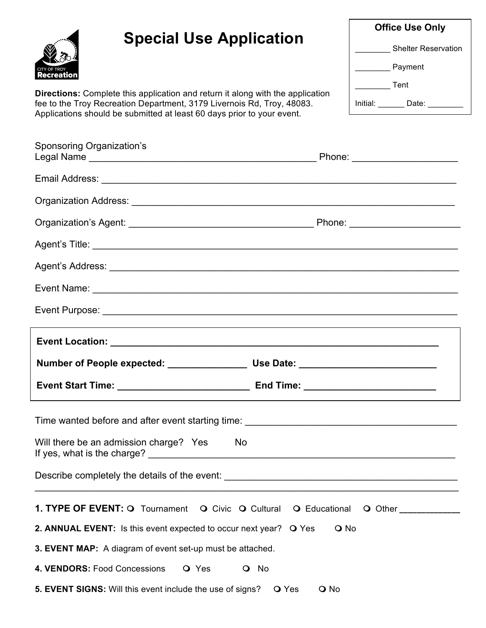# **Special Use Application**



**Directions:** Complete this application and return it along with the application fee to the Troy Recreation Department, 3179 Livernois Rd, Troy, 48083. Applications should be submitted at least 60 days prior to your event.

| <b>Office Use Only</b>     |  |  |  |  |
|----------------------------|--|--|--|--|
| <b>Shelter Reservation</b> |  |  |  |  |
| Payment                    |  |  |  |  |
| Tent                       |  |  |  |  |
| Initial:<br>Date:          |  |  |  |  |

| <b>Sponsoring Organization's</b>                                                                               |        |                                  |
|----------------------------------------------------------------------------------------------------------------|--------|----------------------------------|
|                                                                                                                |        |                                  |
| Organization Address: National Address: National Address: National Address: National Address: National Address |        |                                  |
|                                                                                                                |        | Phone: _________________________ |
|                                                                                                                |        |                                  |
|                                                                                                                |        |                                  |
|                                                                                                                |        |                                  |
|                                                                                                                |        |                                  |
|                                                                                                                |        |                                  |
|                                                                                                                |        |                                  |
|                                                                                                                |        |                                  |
|                                                                                                                |        |                                  |
| Will there be an admission charge? Yes<br>If yes, what is the charge?                                          | No     |                                  |
| Describe completely the details of the event: ___________________________________                              |        |                                  |
| 1. TYPE OF EVENT: O Tournament O Civic O Cultural O Educational                                                |        | O Other                          |
| 2. ANNUAL EVENT: Is this event expected to occur next year? O Yes                                              | $Q$ No |                                  |
| 3. EVENT MAP: A diagram of event set-up must be attached.                                                      |        |                                  |
| 4. VENDORS: Food Concessions<br>O Yes                                                                          | O No   |                                  |
| 5. EVENT SIGNS: Will this event include the use of signs? O Yes                                                | $Q$ No |                                  |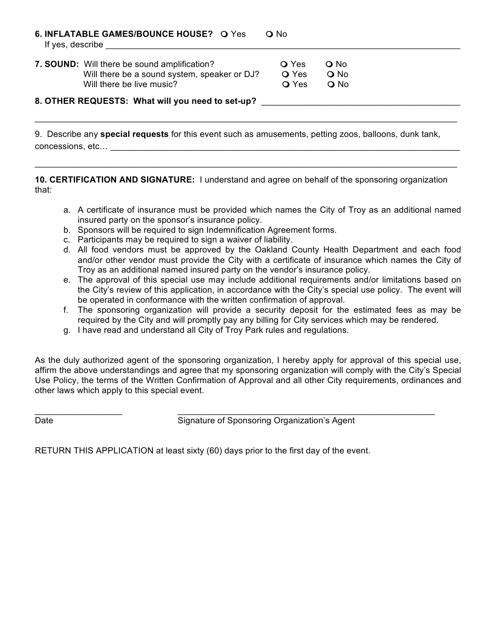| 6. INFLATABLE GAMES/BOUNCE HOUSE? O Yes<br>$\Omega$ No<br>If yes, describe |              |               |  |  |
|----------------------------------------------------------------------------|--------------|---------------|--|--|
| 7. SOUND: Will there be sound amplification?                               | <b>O</b> Yes | $\Omega$ No   |  |  |
| Will there be a sound system, speaker or DJ?                               | <b>O</b> Yes | $\bigcirc$ No |  |  |
| Will there be live music?                                                  | <b>O</b> Yes | $\Omega$ No   |  |  |
| 8. OTHER REQUESTS: What will you need to set-up?                           |              |               |  |  |

9. Describe any **special requests** for this event such as amusements, petting zoos, balloons, dunk tank, concessions, etc… \_\_\_\_\_\_\_\_\_\_\_\_\_\_\_\_\_\_\_\_\_\_\_\_\_\_\_\_\_\_\_\_\_\_\_\_\_\_\_\_\_\_\_\_\_\_\_\_\_\_\_\_\_\_\_\_\_\_\_\_\_\_\_\_\_\_\_\_\_\_\_\_

 $\_$  , and the set of the set of the set of the set of the set of the set of the set of the set of the set of the set of the set of the set of the set of the set of the set of the set of the set of the set of the set of th

**10. CERTIFICATION AND SIGNATURE:** I understand and agree on behalf of the sponsoring organization that:

 $\_$  , and the set of the set of the set of the set of the set of the set of the set of the set of the set of the set of the set of the set of the set of the set of the set of the set of the set of the set of the set of th

- a. A certificate of insurance must be provided which names the City of Troy as an additional named insured party on the sponsor's insurance policy.
- b. Sponsors will be required to sign Indemnification Agreement forms.
- c. Participants may be required to sign a waiver of liability.
- d. All food vendors must be approved by the Oakland County Health Department and each food and/or other vendor must provide the City with a certificate of insurance which names the City of Troy as an additional named insured party on the vendor's insurance policy.
- e. The approval of this special use may include additional requirements and/or limitations based on the City's review of this application, in accordance with the City's special use policy. The event will be operated in conformance with the written confirmation of approval.
- f. The sponsoring organization will provide a security deposit for the estimated fees as may be required by the City and will promptly pay any billing for City services which may be rendered.
- g. I have read and understand all City of Troy Park rules and regulations.

As the duly authorized agent of the sponsoring organization, I hereby apply for approval of this special use, affirm the above understandings and agree that my sponsoring organization will comply with the City's Special Use Policy, the terms of the Written Confirmation of Approval and all other City requirements, ordinances and other laws which apply to this special event.

 $\_$  , and the set of the set of the set of the set of the set of the set of the set of the set of the set of the set of the set of the set of the set of the set of the set of the set of the set of the set of the set of th

Date **Signature of Sponsoring Organization's Agent** 

RETURN THIS APPLICATION at least sixty (60) days prior to the first day of the event.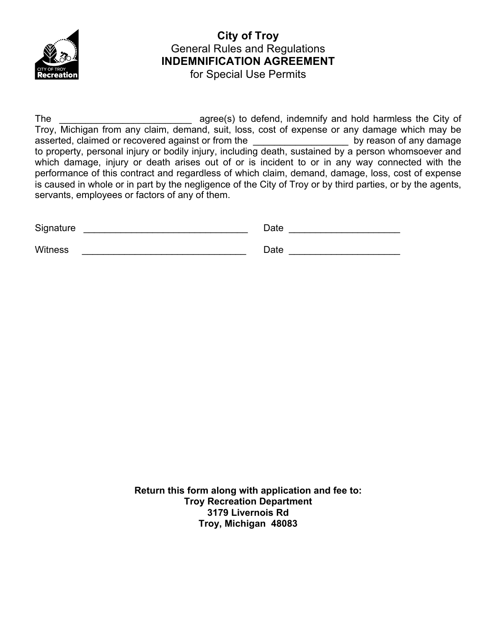

#### **City of Troy**  General Rules and Regulations **INDEMNIFICATION AGREEMENT** for Special Use Permits

The agree(s) to defend, indemnify and hold harmless the City of Troy, Michigan from any claim, demand, suit, loss, cost of expense or any damage which may be asserted, claimed or recovered against or from the example by reason of any damage to property, personal injury or bodily injury, including death, sustained by a person whomsoever and which damage, injury or death arises out of or is incident to or in any way connected with the performance of this contract and regardless of which claim, demand, damage, loss, cost of expense is caused in whole or in part by the negligence of the City of Troy or by third parties, or by the agents, servants, employees or factors of any of them.

| Signature | Date |  |
|-----------|------|--|
| Witness   | Date |  |

**Return this form along with application and fee to: Troy Recreation Department 3179 Livernois Rd Troy, Michigan 48083**